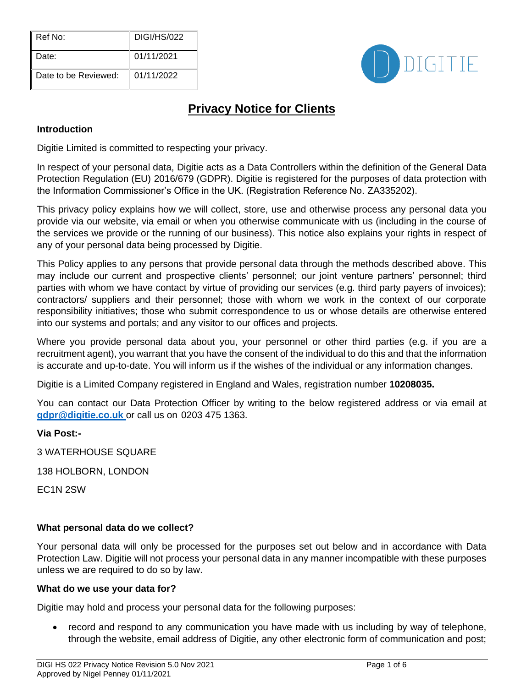| Ref No:              | <b>DIGI/HS/022</b> |
|----------------------|--------------------|
| Date:                | 01/11/2021         |
| Date to be Reviewed: | 01/11/2022         |



# **Privacy Notice for Clients**

# **Introduction**

Digitie Limited is committed to respecting your privacy.

In respect of your personal data, Digitie acts as a Data Controllers within the definition of the General Data Protection Regulation (EU) 2016/679 (GDPR). Digitie is registered for the purposes of data protection with the Information Commissioner's Office in the UK. (Registration Reference No. ZA335202).

This privacy policy explains how we will collect, store, use and otherwise process any personal data you provide via our website, via email or when you otherwise communicate with us (including in the course of the services we provide or the running of our business). This notice also explains your rights in respect of any of your personal data being processed by Digitie.

This Policy applies to any persons that provide personal data through the methods described above. This may include our current and prospective clients' personnel; our joint venture partners' personnel; third parties with whom we have contact by virtue of providing our services (e.g. third party payers of invoices); contractors/ suppliers and their personnel; those with whom we work in the context of our corporate responsibility initiatives; those who submit correspondence to us or whose details are otherwise entered into our systems and portals; and any visitor to our offices and projects.

Where you provide personal data about you, your personnel or other third parties (e.g. if you are a recruitment agent), you warrant that you have the consent of the individual to do this and that the information is accurate and up-to-date. You will inform us if the wishes of the individual or any information changes.

Digitie is a Limited Company registered in England and Wales, registration number **10208035.**

You can contact our Data Protection Officer by writing to the below registered address or via email at **[gdpr@digitie.co.uk](mailto:%20gdpr@digitie.co.uk)** or call us on 0203 475 1363.

# **Via Post:-**

3 WATERHOUSE SQUARE

138 HOLBORN, LONDON

EC1N 2SW

# **What personal data do we collect?**

Your personal data will only be processed for the purposes set out below and in accordance with Data Protection Law. Digitie will not process your personal data in any manner incompatible with these purposes unless we are required to do so by law.

#### **What do we use your data for?**

Digitie may hold and process your personal data for the following purposes:

• record and respond to any communication you have made with us including by way of telephone, through the website, email address of Digitie, any other electronic form of communication and post;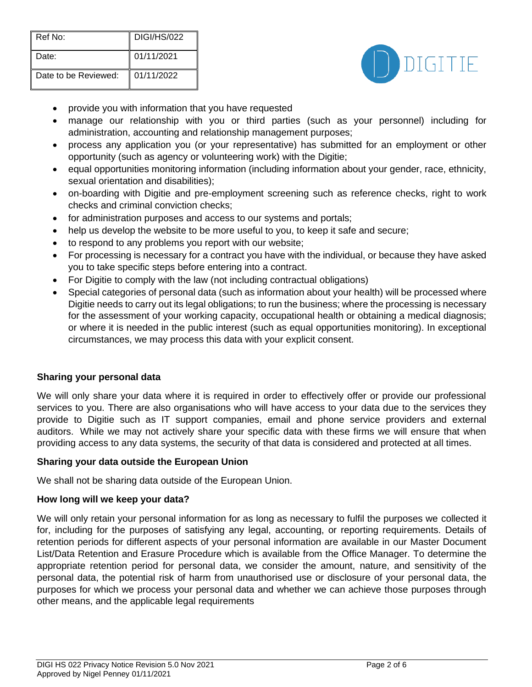| Ref No:              | DIGI/HS/022 |
|----------------------|-------------|
| Date:                | 01/11/2021  |
| Date to be Reviewed: | 01/11/2022  |



- provide you with information that you have requested
- manage our relationship with you or third parties (such as your personnel) including for administration, accounting and relationship management purposes;
- process any application you (or your representative) has submitted for an employment or other opportunity (such as agency or volunteering work) with the Digitie;
- equal opportunities monitoring information (including information about your gender, race, ethnicity, sexual orientation and disabilities);
- on-boarding with Digitie and pre-employment screening such as reference checks, right to work checks and criminal conviction checks;
- for administration purposes and access to our systems and portals;
- help us develop the website to be more useful to you, to keep it safe and secure;
- to respond to any problems you report with our website;
- For processing is necessary for a contract you have with the individual, or because they have asked you to take specific steps before entering into a contract.
- For Digitie to comply with the law (not including contractual obligations)
- Special categories of personal data (such as information about your health) will be processed where Digitie needs to carry out its legal obligations; to run the business; where the processing is necessary for the assessment of your working capacity, occupational health or obtaining a medical diagnosis; or where it is needed in the public interest (such as equal opportunities monitoring). In exceptional circumstances, we may process this data with your explicit consent.

#### **Sharing your personal data**

We will only share your data where it is required in order to effectively offer or provide our professional services to you. There are also organisations who will have access to your data due to the services they provide to Digitie such as IT support companies, email and phone service providers and external auditors. While we may not actively share your specific data with these firms we will ensure that when providing access to any data systems, the security of that data is considered and protected at all times.

#### **Sharing your data outside the European Union**

We shall not be sharing data outside of the European Union.

#### **How long will we keep your data?**

We will only retain your personal information for as long as necessary to fulfil the purposes we collected it for, including for the purposes of satisfying any legal, accounting, or reporting requirements. Details of retention periods for different aspects of your personal information are available in our Master Document List/Data Retention and Erasure Procedure which is available from the Office Manager. To determine the appropriate retention period for personal data, we consider the amount, nature, and sensitivity of the personal data, the potential risk of harm from unauthorised use or disclosure of your personal data, the purposes for which we process your personal data and whether we can achieve those purposes through other means, and the applicable legal requirements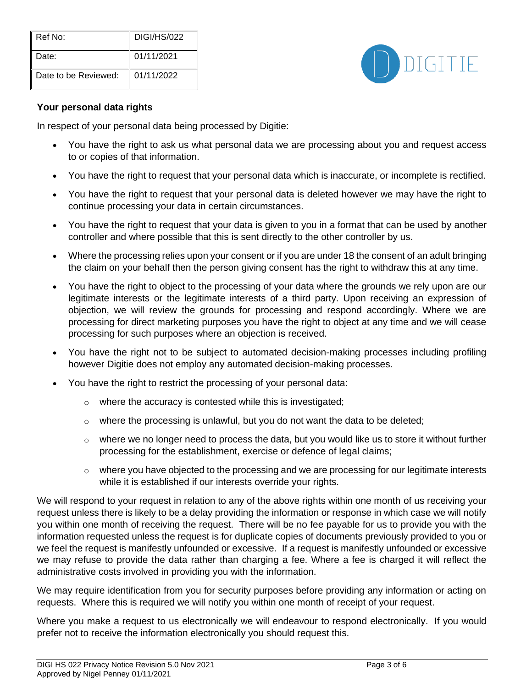| Ref No:              | <b>DIGI/HS/022</b> |
|----------------------|--------------------|
| Date:                | 01/11/2021         |
| Date to be Reviewed: | 01/11/2022         |



## **Your personal data rights**

In respect of your personal data being processed by Digitie:

- You have the right to ask us what personal data we are processing about you and request access to or copies of that information.
- You have the right to request that your personal data which is inaccurate, or incomplete is rectified.
- You have the right to request that your personal data is deleted however we may have the right to continue processing your data in certain circumstances.
- You have the right to request that your data is given to you in a format that can be used by another controller and where possible that this is sent directly to the other controller by us.
- Where the processing relies upon your consent or if you are under 18 the consent of an adult bringing the claim on your behalf then the person giving consent has the right to withdraw this at any time.
- You have the right to object to the processing of your data where the grounds we rely upon are our legitimate interests or the legitimate interests of a third party. Upon receiving an expression of objection, we will review the grounds for processing and respond accordingly. Where we are processing for direct marketing purposes you have the right to object at any time and we will cease processing for such purposes where an objection is received.
- You have the right not to be subject to automated decision-making processes including profiling however Digitie does not employ any automated decision-making processes.
- You have the right to restrict the processing of your personal data:
	- o where the accuracy is contested while this is investigated;
	- $\circ$  where the processing is unlawful, but you do not want the data to be deleted;
	- $\circ$  where we no longer need to process the data, but you would like us to store it without further processing for the establishment, exercise or defence of legal claims;
	- $\circ$  where you have objected to the processing and we are processing for our legitimate interests while it is established if our interests override your rights.

We will respond to your request in relation to any of the above rights within one month of us receiving your request unless there is likely to be a delay providing the information or response in which case we will notify you within one month of receiving the request. There will be no fee payable for us to provide you with the information requested unless the request is for duplicate copies of documents previously provided to you or we feel the request is manifestly unfounded or excessive. If a request is manifestly unfounded or excessive we may refuse to provide the data rather than charging a fee. Where a fee is charged it will reflect the administrative costs involved in providing you with the information.

We may require identification from you for security purposes before providing any information or acting on requests. Where this is required we will notify you within one month of receipt of your request.

Where you make a request to us electronically we will endeavour to respond electronically. If you would prefer not to receive the information electronically you should request this.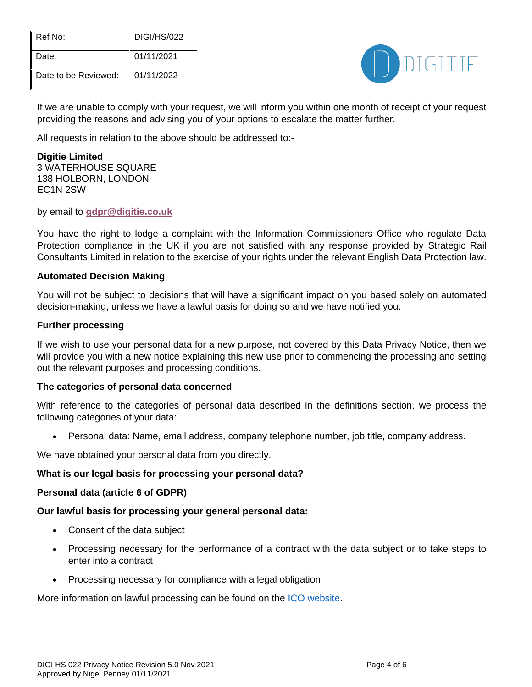| Ref No:              | <b>DIGI/HS/022</b> |
|----------------------|--------------------|
| Date:                | 01/11/2021         |
| Date to be Reviewed: | 01/11/2022         |



If we are unable to comply with your request, we will inform you within one month of receipt of your request providing the reasons and advising you of your options to escalate the matter further.

All requests in relation to the above should be addressed to:-

**Digitie Limited**  3 WATERHOUSE SQUARE 138 HOLBORN, LONDON EC1N 2SW

by email to **[gdpr@digitie.co.uk](mailto:gdpr@digitie.co.uk)**

You have the right to lodge a complaint with the Information Commissioners Office who regulate Data Protection compliance in the UK if you are not satisfied with any response provided by Strategic Rail Consultants Limited in relation to the exercise of your rights under the relevant English Data Protection law.

#### **Automated Decision Making**

You will not be subject to decisions that will have a significant impact on you based solely on automated decision-making, unless we have a lawful basis for doing so and we have notified you.

#### **Further processing**

If we wish to use your personal data for a new purpose, not covered by this Data Privacy Notice, then we will provide you with a new notice explaining this new use prior to commencing the processing and setting out the relevant purposes and processing conditions.

#### **The categories of personal data concerned**

With reference to the categories of personal data described in the definitions section, we process the following categories of your data:

• Personal data: Name, email address, company telephone number, job title, company address.

We have obtained your personal data from you directly.

#### **What is our legal basis for processing your personal data?**

#### **Personal data (article 6 of GDPR)**

#### **Our lawful basis for processing your general personal data:**

- Consent of the data subject
- Processing necessary for the performance of a contract with the data subject or to take steps to enter into a contract
- Processing necessary for compliance with a legal obligation

More information on lawful processing can be found on the [ICO website.](https://ico.org.uk/for-organisations/guide-to-the-general-data-protection-regulation-gdpr/lawful-basis-for-processing/)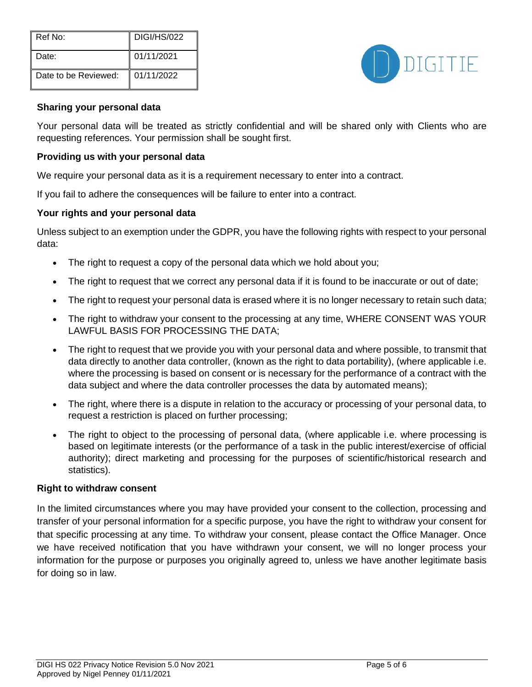| Ref No:              | DIGI/HS/022 |
|----------------------|-------------|
| Date:                | 01/11/2021  |
| Date to be Reviewed: | 01/11/2022  |



#### **Sharing your personal data**

Your personal data will be treated as strictly confidential and will be shared only with Clients who are requesting references. Your permission shall be sought first.

#### **Providing us with your personal data**

We require your personal data as it is a requirement necessary to enter into a contract.

If you fail to adhere the consequences will be failure to enter into a contract.

#### **Your rights and your personal data**

Unless subject to an exemption under the GDPR, you have the following rights with respect to your personal data:

- The right to request a copy of the personal data which we hold about you;
- The right to request that we correct any personal data if it is found to be inaccurate or out of date;
- The right to request your personal data is erased where it is no longer necessary to retain such data;
- The right to withdraw your consent to the processing at any time, WHERE CONSENT WAS YOUR LAWFUL BASIS FOR PROCESSING THE DATA;
- The right to request that we provide you with your personal data and where possible, to transmit that data directly to another data controller, (known as the right to data portability), (where applicable i.e. where the processing is based on consent or is necessary for the performance of a contract with the data subject and where the data controller processes the data by automated means);
- The right, where there is a dispute in relation to the accuracy or processing of your personal data, to request a restriction is placed on further processing;
- The right to object to the processing of personal data, (where applicable i.e. where processing is based on legitimate interests (or the performance of a task in the public interest/exercise of official authority); direct marketing and processing for the purposes of scientific/historical research and statistics).

#### **Right to withdraw consent**

In the limited circumstances where you may have provided your consent to the collection, processing and transfer of your personal information for a specific purpose, you have the right to withdraw your consent for that specific processing at any time. To withdraw your consent, please contact the Office Manager. Once we have received notification that you have withdrawn your consent, we will no longer process your information for the purpose or purposes you originally agreed to, unless we have another legitimate basis for doing so in law.